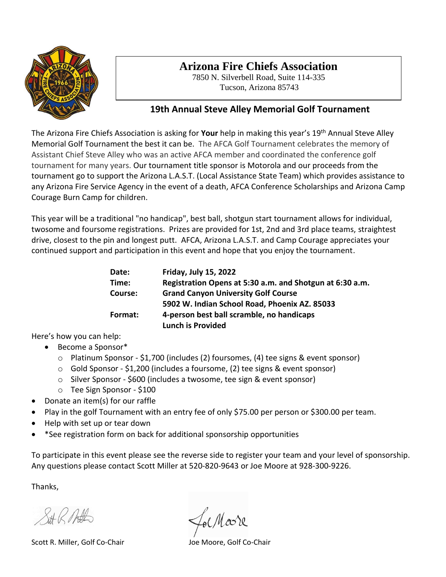

# **Arizona Fire Chiefs Association**

7850 N. Silverbell Road, Suite 114-335 Tucson, Arizona 85743

## **19th Annual Steve Alley Memorial Golf Tournament**

The Arizona Fire Chiefs Association is asking for **Your** help in making this year's 19 th Annual Steve Alley Memorial Golf Tournament the best it can be. The AFCA Golf Tournament celebrates the memory of Assistant Chief Steve Alley who was an active AFCA member and coordinated the conference golf tournament for many years. Our tournament title sponsor is Motorola and our proceeds from the tournament go to support the Arizona L.A.S.T. (Local Assistance State Team) which provides assistance to any Arizona Fire Service Agency in the event of a death, AFCA Conference Scholarships and Arizona Camp Courage Burn Camp for children.

This year will be a traditional "no handicap", best ball, shotgun start tournament allows for individual, twosome and foursome registrations. Prizes are provided for 1st, 2nd and 3rd place teams, straightest drive, closest to the pin and longest putt. AFCA, Arizona L.A.S.T. and Camp Courage appreciates your continued support and participation in this event and hope that you enjoy the tournament.

| Date:   | <b>Friday, July 15, 2022</b>                             |  |
|---------|----------------------------------------------------------|--|
| Time:   | Registration Opens at 5:30 a.m. and Shotgun at 6:30 a.m. |  |
| Course: | <b>Grand Canyon University Golf Course</b>               |  |
|         | 5902 W. Indian School Road, Phoenix AZ. 85033            |  |
| Format: | 4-person best ball scramble, no handicaps                |  |
|         | <b>Lunch is Provided</b>                                 |  |

Here's how you can help:

- Become a Sponsor\*
	- o Platinum Sponsor \$1,700 (includes (2) foursomes, (4) tee signs & event sponsor)
	- o Gold Sponsor \$1,200 (includes a foursome, (2) tee signs & event sponsor)
	- o Silver Sponsor \$600 (includes a twosome, tee sign & event sponsor)
	- o Tee Sign Sponsor \$100
- Donate an item(s) for our raffle
- Play in the golf Tournament with an entry fee of only \$75.00 per person or \$300.00 per team.
- Help with set up or tear down
- \*See registration form on back for additional sponsorship opportunities

To participate in this event please see the reverse side to register your team and your level of sponsorship. Any questions please contact Scott Miller at 520-820-9643 or Joe Moore at 928-300-9226.

Thanks,

SHRMA

Scott R. Miller, Golf Co-Chair Joe Moore, Golf Co-Chair

for Moore